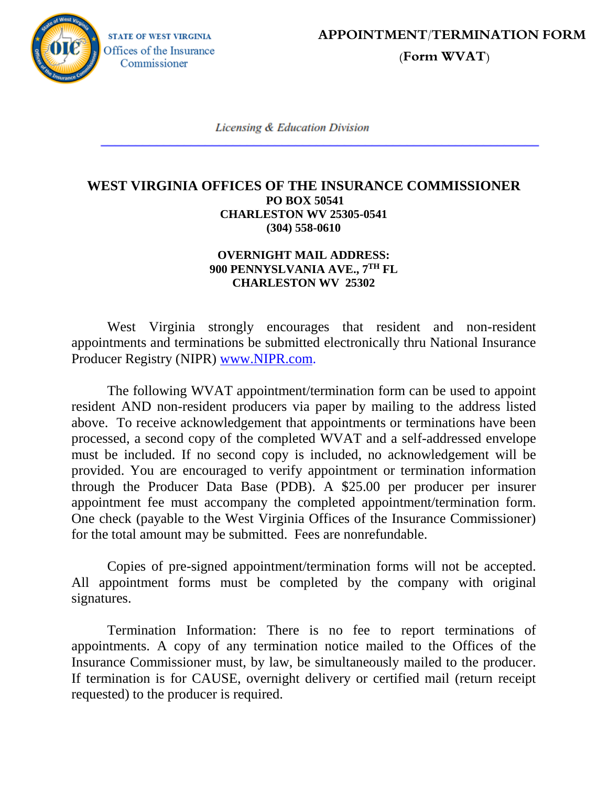**STATE OF WEST VIRGINIA** Offices of the Insurance Commissioner

**APPOINTMENT/TERMINATION FORM** 

 **(Form WVAT)**

**Licensing & Education Division** 

## **WEST VIRGINIA OFFICES OF THE INSURANCE COMMISSIONER PO BOX 50541 CHARLESTON WV 25305-0541 (304) 558-0610**

## **OVERNIGHT MAIL ADDRESS: 900 PENNYSLVANIA AVE., 7TH FL CHARLESTON WV 25302**

West Virginia strongly encourages that resident and non-resident appointments and terminations be submitted electronically thru National Insurance Producer Registry (NIPR) www.NIPR.com.

The following WVAT appointment/termination form can be used to appoint resident AND non-resident producers via paper by mailing to the address listed above. To receive acknowledgement that appointments or terminations have been processed, a second copy of the completed WVAT and a self-addressed envelope must be included. If no second copy is included, no acknowledgement will be provided. You are encouraged to verify appointment or termination information through the Producer Data Base (PDB). A \$25.00 per producer per insurer appointment fee must accompany the completed appointment/termination form. One check (payable to the West Virginia Offices of the Insurance Commissioner) for the total amount may be submitted. Fees are nonrefundable.

Copies of pre-signed appointment/termination forms will not be accepted. All appointment forms must be completed by the company with original signatures.

Termination Information: There is no fee to report terminations of appointments. A copy of any termination notice mailed to the Offices of the Insurance Commissioner must, by law, be simultaneously mailed to the producer. If termination is for CAUSE, overnight delivery or certified mail (return receipt requested) to the producer is required.